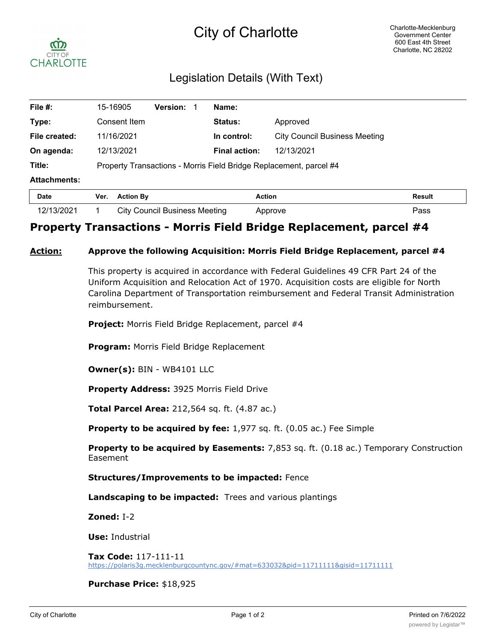# City of Charlotte



## Legislation Details (With Text)

| File #:             | 15-16905                                                           | <b>Version:</b> | Name:                |                                      |               |
|---------------------|--------------------------------------------------------------------|-----------------|----------------------|--------------------------------------|---------------|
| Type:               | Consent Item                                                       |                 | <b>Status:</b>       | Approved                             |               |
| File created:       | 11/16/2021                                                         |                 | In control:          | <b>City Council Business Meeting</b> |               |
| On agenda:          | 12/13/2021                                                         |                 | <b>Final action:</b> | 12/13/2021                           |               |
| Title:              | Property Transactions - Morris Field Bridge Replacement, parcel #4 |                 |                      |                                      |               |
| <b>Attachments:</b> |                                                                    |                 |                      |                                      |               |
| <b>Date</b>         | <b>Action By</b><br>Ver.                                           |                 | <b>Action</b>        |                                      | <b>Result</b> |

# 12/13/2021 1 City Council Business Meeting Approve Pass

### **Property Transactions - Morris Field Bridge Replacement, parcel #4**

#### **Action: Approve the following Acquisition: Morris Field Bridge Replacement, parcel #4**

This property is acquired in accordance with Federal Guidelines 49 CFR Part 24 of the Uniform Acquisition and Relocation Act of 1970. Acquisition costs are eligible for North Carolina Department of Transportation reimbursement and Federal Transit Administration reimbursement.

**Project:** Morris Field Bridge Replacement, parcel #4

**Program:** Morris Field Bridge Replacement

**Owner(s):** BIN - WB4101 LLC

**Property Address:** 3925 Morris Field Drive

**Total Parcel Area:** 212,564 sq. ft. (4.87 ac.)

**Property to be acquired by fee:** 1,977 sq. ft. (0.05 ac.) Fee Simple

**Property to be acquired by Easements:** 7,853 sq. ft. (0.18 ac.) Temporary Construction Easement

#### **Structures/Improvements to be impacted:** Fence

**Landscaping to be impacted:** Trees and various plantings

**Zoned:** I-2

**Use:** Industrial

**Tax Code:** 117-111-11 https://polaris3g.mecklenburgcountync.gov/#mat=633032&pid=11711111&gisid=11711111

#### **Purchase Price:** \$18,925